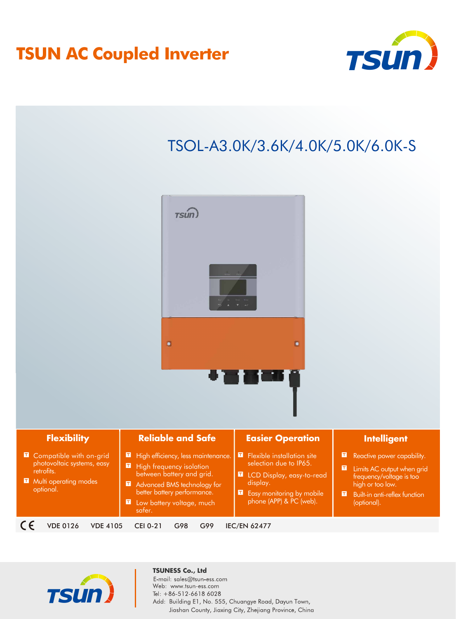## **TSUN AC Coupled Inverter**



### TSOL-A3.0K/3.6K/4.0K/5.0K/6.0K-S



| <b>Flexibility</b> |                                                                                                           | <b>Reliable and Safe</b>                                                                                                                                                                         | <b>Easier Operation</b>                                                                                                                                        | Intelligent                                                                                                                                                             |  |
|--------------------|-----------------------------------------------------------------------------------------------------------|--------------------------------------------------------------------------------------------------------------------------------------------------------------------------------------------------|----------------------------------------------------------------------------------------------------------------------------------------------------------------|-------------------------------------------------------------------------------------------------------------------------------------------------------------------------|--|
|                    | Compatible with on-grid<br>photovoltaic systems, easy<br>retrofits.<br>Multi operating modes<br>optional. | High efficiency, less maintenance.<br>High frequency isolation<br>between battery and grid.<br>Advanced BMS technology for<br>better battery performance.<br>Low battery voltage, much<br>safer. | <b>E</b> Flexible installation site<br>selection due to IP65.<br>LCD Display, easy-to-read<br>display.<br>Easy monitoring by mobile<br>phone (APP) & PC (web). | Reactive power capability.<br>o<br>Limits AC output when grid<br>Œ<br>frequency/voltage is too<br>high or too low.<br>п<br>Built-in anti-reflex function<br>(optional). |  |
|                    | <b>VDE 4105</b><br>/DE 0126                                                                               | <b>CEI 0-21</b><br>G98<br>G99                                                                                                                                                                    | <b>IEC/EN 62477</b>                                                                                                                                            |                                                                                                                                                                         |  |



#### **TSUNESS Co., Ltd**

E-mail: sales@tsun-ess.com Web: www.tsun-ess.com Tel: +86-512-6618 6028 Add: Building E1, No. 555, Chuangye Road, Dayun Town, Jiashan County, Jiaxing City, Zhejiang Province, China